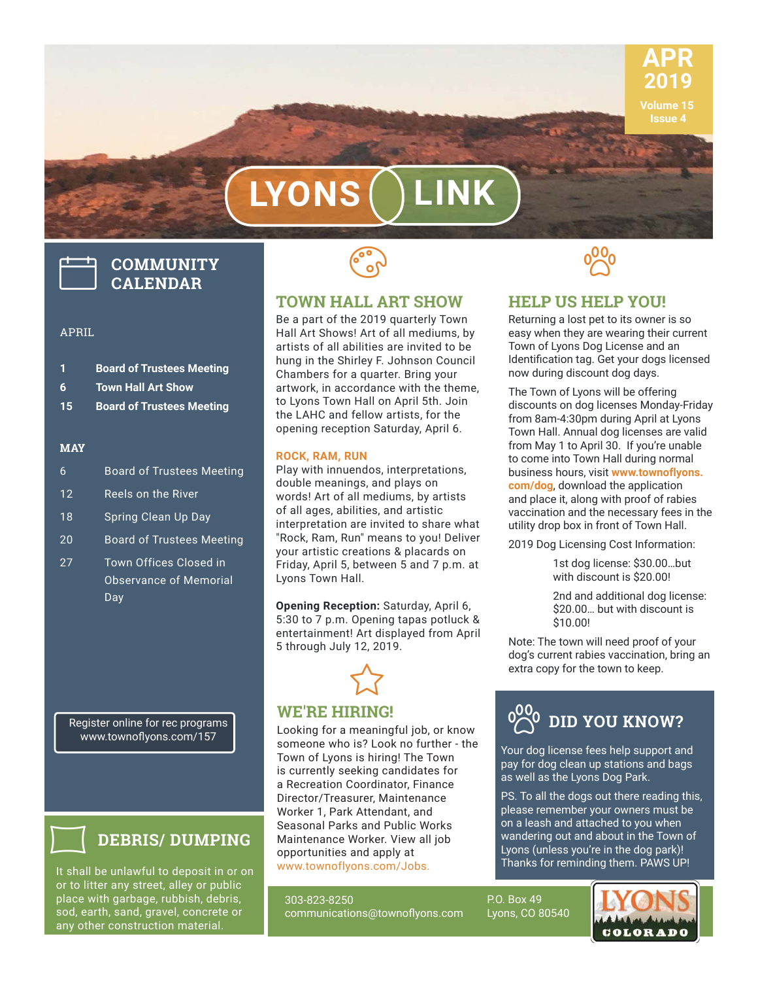

# **LYONS LINK**

# **COMMUNITY CALENDAR**

#### APRIL

|    | <b>Board of Trustees Meeting</b> |
|----|----------------------------------|
| -6 | <b>Town Hall Art Show</b>        |

- 
- **15 Board of Trustees Meeting**

#### **MAY**

- 6 Board of Trustees Meeting 12 Reels on the River 18 Spring Clean Up Day 20 Board of Trustees Meeting
- 27 Town Offices Closed in Observance of Memorial **Day**



#### **TOWN HALL ART SHOW**

Be a part of the 2019 quarterly Town Hall Art Shows! Art of all mediums, by artists of all abilities are invited to be hung in the Shirley F. Johnson Council Chambers for a quarter. Bring your artwork, in accordance with the theme, to Lyons Town Hall on April 5th. Join the LAHC and fellow artists, for the opening reception Saturday, April 6.

#### **ROCK, RAM, RUN**

Play with innuendos, interpretations, double meanings, and plays on words! Art of all mediums, by artists of all ages, abilities, and artistic interpretation are invited to share what "Rock, Ram, Run" means to you! Deliver your artistic creations & placards on Friday, April 5, between 5 and 7 p.m. at Lyons Town Hall.

**Opening Reception:** Saturday, April 6, 5:30 to 7 p.m. Opening tapas potluck & entertainment! Art displayed from April 5 through July 12, 2019.



#### **WE'RE HIRING!**

Looking for a meaningful job, or know someone who is? Look no further - the Town of Lyons is hiring! The Town is currently seeking candidates for a Recreation Coordinator, Finance Director/Treasurer, Maintenance Worker 1, Park Attendant, and Seasonal Parks and Public Works Maintenance Worker. View all job opportunities and apply at www.townoflyons.com/Jobs.

303-823-8250 communications@townoflyons.com



#### **HELP US HELP YOU!**

Returning a lost pet to its owner is so easy when they are wearing their current Town of Lyons Dog License and an Identification tag. Get your dogs licensed now during discount dog days.

The Town of Lyons will be offering discounts on dog licenses Monday-Friday from 8am-4:30pm during April at Lyons Town Hall. Annual dog licenses are valid from May 1 to April 30. If you're unable to come into Town Hall during normal business hours, visit **www.townoflyons. com/dog**, download the application and place it, along with proof of rabies vaccination and the necessary fees in the utility drop box in front of Town Hall.

2019 Dog Licensing Cost Information:

 1st dog license: \$30.00…but with discount is \$20.00!

 2nd and additional dog license: \$20.00… but with discount is \$10.00!

Note: The town will need proof of your dog's current rabies vaccination, bring an extra copy for the town to keep.



Your dog license fees help support and pay for dog clean up stations and bags as well as the Lyons Dog Park.

PS. To all the dogs out there reading this, please remember your owners must be on a leash and attached to you when wandering out and about in the Town of Lyons (unless you're in the dog park)! Thanks for reminding them. PAWS UP!

P.O. Box 49 Lyons, CO 80540



Register online for rec programs www.townoflyons.com/157



#### **DEBRIS/ DUMPING**

It shall be unlawful to deposit in or on or to litter any street, alley or public place with garbage, rubbish, debris, sod, earth, sand, gravel, concrete or any other construction material.